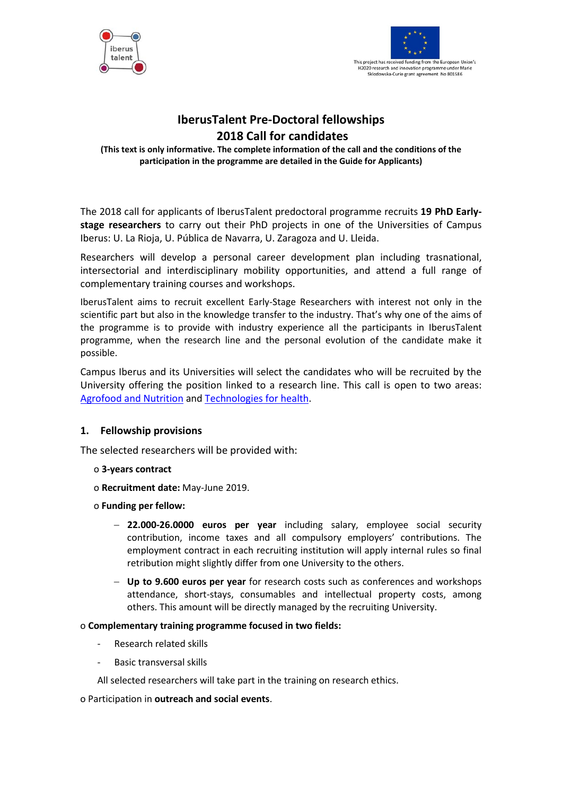



# **IberusTalent Pre-Doctoral fellowships 2018 Call for candidates**

**(This text is only informative. The complete information of the call and the conditions of the participation in the programme are detailed in the Guide for Applicants)**

The 2018 call for applicants of IberusTalent predoctoral programme recruits **19 PhD Earlystage researchers** to carry out their PhD projects in one of the Universities of Campus Iberus: U. La Rioja, U. Pública de Navarra, U. Zaragoza and U. Lleida.

Researchers will develop a personal career development plan including trasnational, intersectorial and interdisciplinary mobility opportunities, and attend a full range of complementary training courses and workshops.

IberusTalent aims to recruit excellent Early-Stage Researchers with interest not only in the scientific part but also in the knowledge transfer to the industry. That's why one of the aims of the programme is to provide with industry experience all the participants in IberusTalent programme, when the research line and the personal evolution of the candidate make it possible.

Campus Iberus and its Universities will select the candidates who will be recruited by the University offering the position linked to a research line. This call is open to two areas: [Agrofood and Nutrition](mailto:http://iberus.unizar.es/en/agrofood-and-nutrition) and [Technologies for health.](mailto:http://iberus.unizar.es/en/health-technologies)

# **1. Fellowship provisions**

The selected researchers will be provided with:

- o **3-years contract**
- o **Recruitment date:** May-June 2019.
- o **Funding per fellow:** 
	- − **22.000-26.0000 euros per year** including salary, employee social security contribution, income taxes and all compulsory employers' contributions. The employment contract in each recruiting institution will apply internal rules so final retribution might slightly differ from one University to the others.
	- − **Up to 9.600 euros per year** for research costs such as conferences and workshops attendance, short-stays, consumables and intellectual property costs, among others. This amount will be directly managed by the recruiting University.

## o **Complementary training programme focused in two fields:**

- Research related skills
- Basic transversal skills

All selected researchers will take part in the training on research ethics.

## o Participation in **outreach and social events**.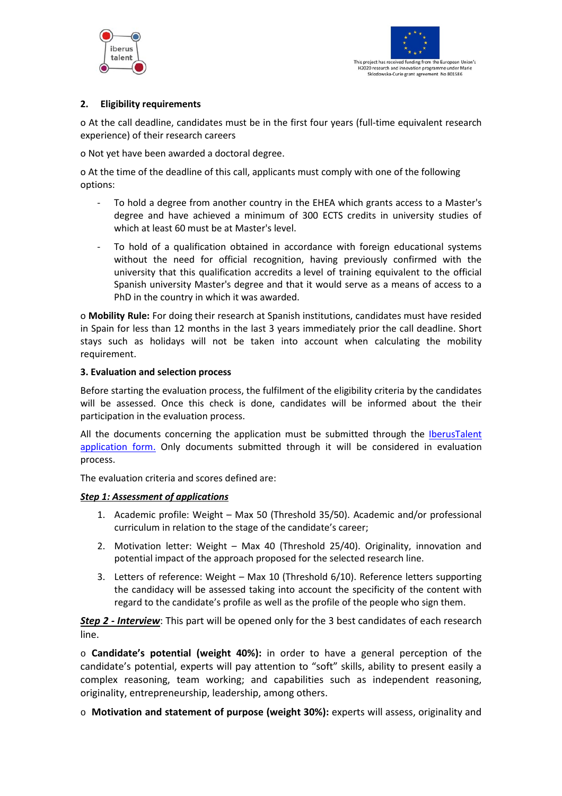



## **2. Eligibility requirements**

o At the call deadline, candidates must be in the first four years (full-time equivalent research experience) of their research careers

o Not yet have been awarded a doctoral degree.

o At the time of the deadline of this call, applicants must comply with one of the following options:

- To hold a degree from another country in the EHEA which grants access to a Master's degree and have achieved a minimum of 300 ECTS credits in university studies of which at least 60 must be at Master's level.
- To hold of a qualification obtained in accordance with foreign educational systems without the need for official recognition, having previously confirmed with the university that this qualification accredits a level of training equivalent to the official Spanish university Master's degree and that it would serve as a means of access to a PhD in the country in which it was awarded.

o **Mobility Rule:** For doing their research at Spanish institutions, candidates must have resided in Spain for less than 12 months in the last 3 years immediately prior the call deadline. Short stays such as holidays will not be taken into account when calculating the mobility requirement.

#### **3. Evaluation and selection process**

Before starting the evaluation process, the fulfilment of the eligibility criteria by the candidates will be assessed. Once this check is done, candidates will be informed about the their participation in the evaluation process.

All the documents concerning the application must be submitted through the **IberusTalent** [application form.](mailto:http://iberustalent.campusiberus.es/en/node/667) Only documents submitted through it will be considered in evaluation process.

The evaluation criteria and scores defined are:

## *Step 1: Assessment of applications*

- 1. Academic profile: Weight Max 50 (Threshold 35/50). Academic and/or professional curriculum in relation to the stage of the candidate's career;
- 2. Motivation letter: Weight Max 40 (Threshold 25/40). Originality, innovation and potential impact of the approach proposed for the selected research line.
- 3. Letters of reference: Weight Max 10 (Threshold 6/10). Reference letters supporting the candidacy will be assessed taking into account the specificity of the content with regard to the candidate's profile as well as the profile of the people who sign them.

*Step 2 - Interview*: This part will be opened only for the 3 best candidates of each research line.

o **Candidate's potential (weight 40%):** in order to have a general perception of the candidate's potential, experts will pay attention to "soft" skills, ability to present easily a complex reasoning, team working; and capabilities such as independent reasoning, originality, entrepreneurship, leadership, among others.

o **Motivation and statement of purpose (weight 30%):** experts will assess, originality and